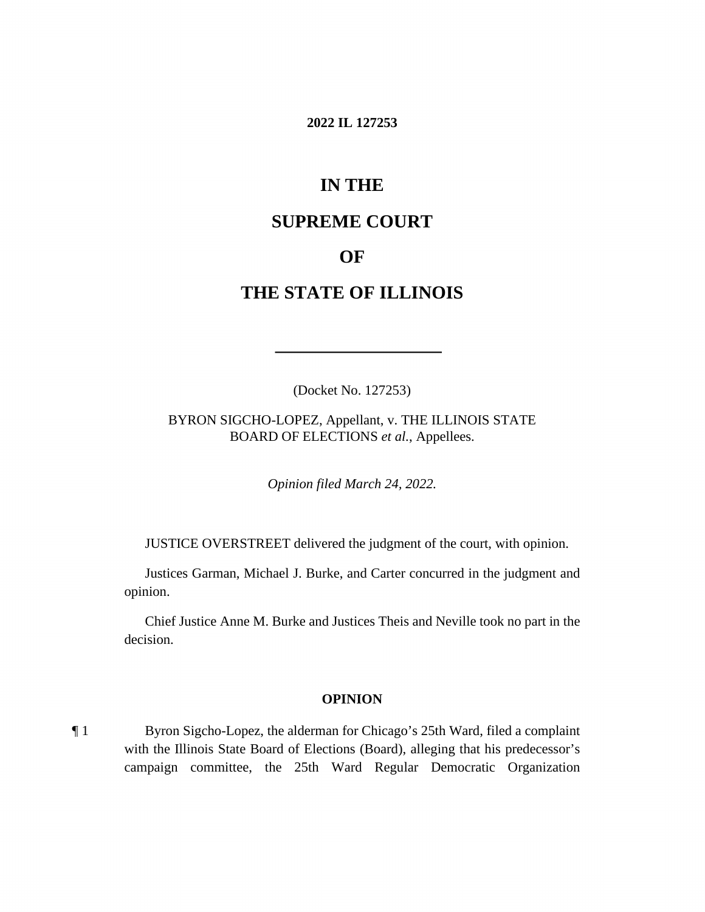### **2022 IL 127253**

# **IN THE**

## **SUPREME COURT**

## **OF**

# **THE STATE OF ILLINOIS**

(Docket No. 127253)

BYRON SIGCHO-LOPEZ, Appellant, v. THE ILLINOIS STATE BOARD OF ELECTIONS *et al.*, Appellees.

*Opinion filed March 24, 2022.*

JUSTICE OVERSTREET delivered the judgment of the court, with opinion.

Justices Garman, Michael J. Burke, and Carter concurred in the judgment and opinion.

Chief Justice Anne M. Burke and Justices Theis and Neville took no part in the decision.

#### **OPINION**

¶ 1 Byron Sigcho-Lopez, the alderman for Chicago's 25th Ward, filed a complaint with the Illinois State Board of Elections (Board), alleging that his predecessor's campaign committee, the 25th Ward Regular Democratic Organization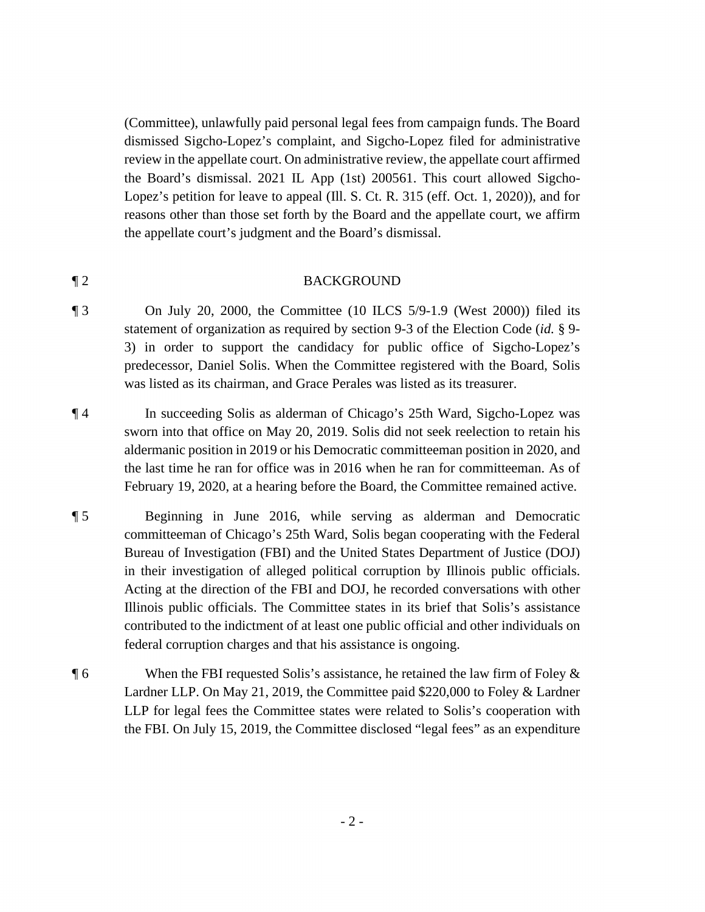(Committee), unlawfully paid personal legal fees from campaign funds. The Board dismissed Sigcho-Lopez's complaint, and Sigcho-Lopez filed for administrative review in the appellate court. On administrative review, the appellate court affirmed the Board's dismissal. 2021 IL App (1st) 200561. This court allowed Sigcho-Lopez's petition for leave to appeal (Ill. S. Ct. R. 315 (eff. Oct. 1, 2020)), and for reasons other than those set forth by the Board and the appellate court, we affirm the appellate court's judgment and the Board's dismissal.

#### ¶ 2 BACKGROUND

- ¶ 3 On July 20, 2000, the Committee (10 ILCS 5/9-1.9 (West 2000)) filed its statement of organization as required by section 9-3 of the Election Code (*id.* § 9- 3) in order to support the candidacy for public office of Sigcho-Lopez's predecessor, Daniel Solis. When the Committee registered with the Board, Solis was listed as its chairman, and Grace Perales was listed as its treasurer.
- ¶ 4 In succeeding Solis as alderman of Chicago's 25th Ward, Sigcho-Lopez was sworn into that office on May 20, 2019. Solis did not seek reelection to retain his aldermanic position in 2019 or his Democratic committeeman position in 2020, and the last time he ran for office was in 2016 when he ran for committeeman. As of February 19, 2020, at a hearing before the Board, the Committee remained active.
- ¶ 5 Beginning in June 2016, while serving as alderman and Democratic committeeman of Chicago's 25th Ward, Solis began cooperating with the Federal Bureau of Investigation (FBI) and the United States Department of Justice (DOJ) in their investigation of alleged political corruption by Illinois public officials. Acting at the direction of the FBI and DOJ, he recorded conversations with other Illinois public officials. The Committee states in its brief that Solis's assistance contributed to the indictment of at least one public official and other individuals on federal corruption charges and that his assistance is ongoing.
- ¶ 6 When the FBI requested Solis's assistance, he retained the law firm of Foley & Lardner LLP. On May 21, 2019, the Committee paid \$220,000 to Foley & Lardner LLP for legal fees the Committee states were related to Solis's cooperation with the FBI. On July 15, 2019, the Committee disclosed "legal fees" as an expenditure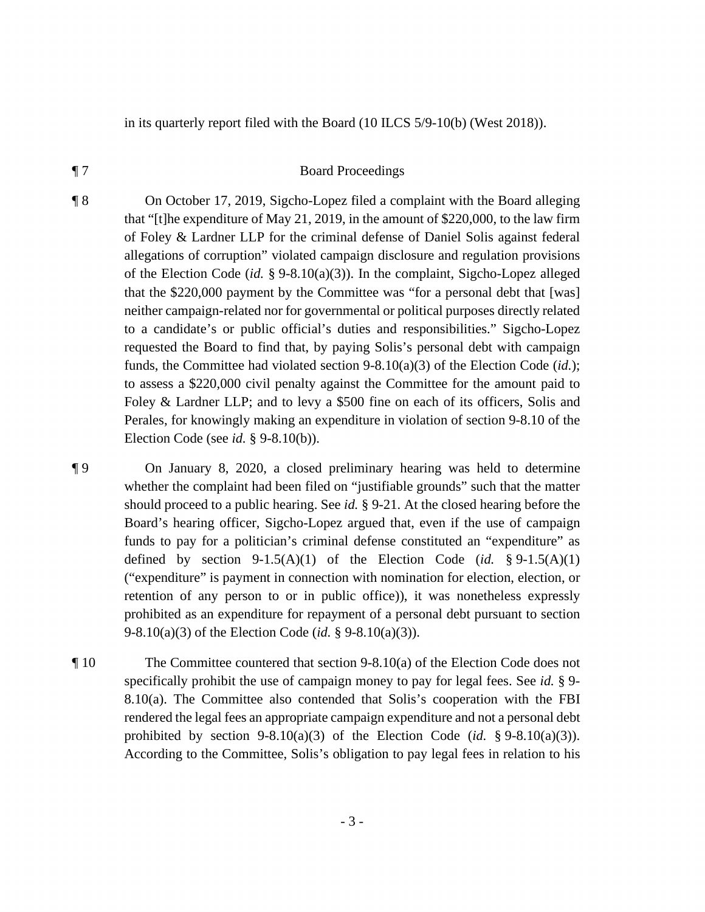in its quarterly report filed with the Board (10 ILCS 5/9-10(b) (West 2018)).

### ¶ 7 Board Proceedings

¶ 8 On October 17, 2019, Sigcho-Lopez filed a complaint with the Board alleging that "[t]he expenditure of May 21, 2019, in the amount of \$220,000, to the law firm of Foley & Lardner LLP for the criminal defense of Daniel Solis against federal allegations of corruption" violated campaign disclosure and regulation provisions of the Election Code (*id.* § 9-8.10(a)(3)). In the complaint, Sigcho-Lopez alleged that the \$220,000 payment by the Committee was "for a personal debt that [was] neither campaign-related nor for governmental or political purposes directly related to a candidate's or public official's duties and responsibilities." Sigcho-Lopez requested the Board to find that, by paying Solis's personal debt with campaign funds, the Committee had violated section 9-8.10(a)(3) of the Election Code (*id.*); to assess a \$220,000 civil penalty against the Committee for the amount paid to Foley & Lardner LLP; and to levy a \$500 fine on each of its officers, Solis and Perales, for knowingly making an expenditure in violation of section 9-8.10 of the Election Code (see *id.* § 9-8.10(b)).

¶ 9 On January 8, 2020, a closed preliminary hearing was held to determine whether the complaint had been filed on "justifiable grounds" such that the matter should proceed to a public hearing. See *id.* § 9-21. At the closed hearing before the Board's hearing officer, Sigcho-Lopez argued that, even if the use of campaign funds to pay for a politician's criminal defense constituted an "expenditure" as defined by section  $9-1.5(A)(1)$  of the Election Code (*id.* §  $9-1.5(A)(1)$ ) ("expenditure" is payment in connection with nomination for election, election, or retention of any person to or in public office)), it was nonetheless expressly prohibited as an expenditure for repayment of a personal debt pursuant to section 9-8.10(a)(3) of the Election Code (*id.* § 9-8.10(a)(3)).

¶ 10 The Committee countered that section 9-8.10(a) of the Election Code does not specifically prohibit the use of campaign money to pay for legal fees. See *id.* § 9- 8.10(a). The Committee also contended that Solis's cooperation with the FBI rendered the legal fees an appropriate campaign expenditure and not a personal debt prohibited by section  $9-8.10(a)(3)$  of the Election Code (*id.* §  $9-8.10(a)(3)$ ). According to the Committee, Solis's obligation to pay legal fees in relation to his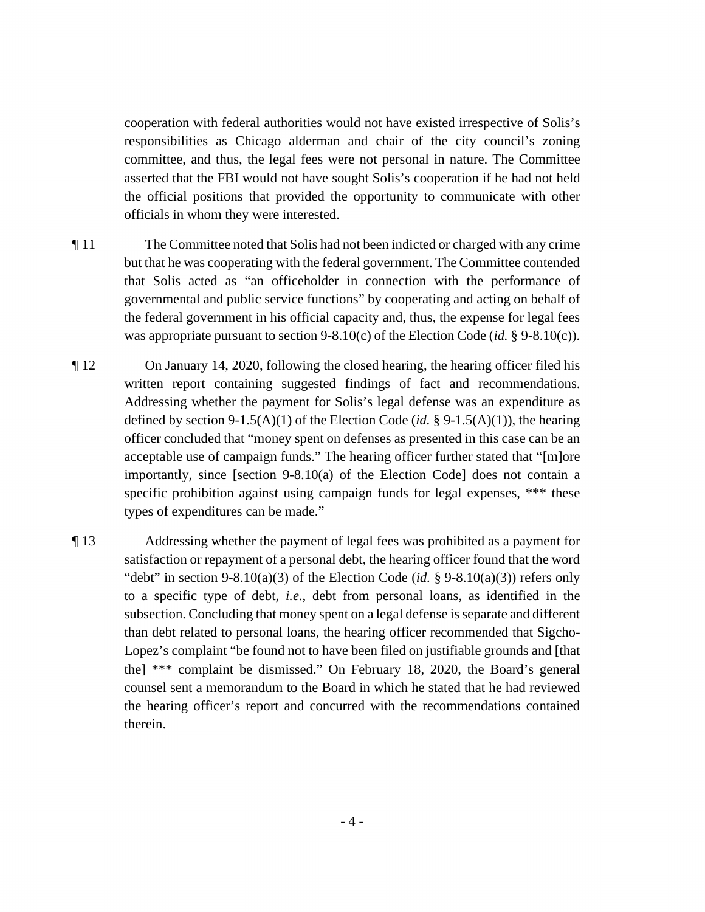cooperation with federal authorities would not have existed irrespective of Solis's responsibilities as Chicago alderman and chair of the city council's zoning committee, and thus, the legal fees were not personal in nature. The Committee asserted that the FBI would not have sought Solis's cooperation if he had not held the official positions that provided the opportunity to communicate with other officials in whom they were interested.

- ¶ 11 The Committee noted that Solis had not been indicted or charged with any crime but that he was cooperating with the federal government. The Committee contended that Solis acted as "an officeholder in connection with the performance of governmental and public service functions" by cooperating and acting on behalf of the federal government in his official capacity and, thus, the expense for legal fees was appropriate pursuant to section 9-8.10(c) of the Election Code (*id.* § 9-8.10(c)).
- ¶ 12 On January 14, 2020, following the closed hearing, the hearing officer filed his written report containing suggested findings of fact and recommendations. Addressing whether the payment for Solis's legal defense was an expenditure as defined by section 9-1.5(A)(1) of the Election Code (*id.* § 9-1.5(A)(1)), the hearing officer concluded that "money spent on defenses as presented in this case can be an acceptable use of campaign funds." The hearing officer further stated that "[m]ore importantly, since [section 9-8.10(a) of the Election Code] does not contain a specific prohibition against using campaign funds for legal expenses, \*\*\* these types of expenditures can be made."
- ¶ 13 Addressing whether the payment of legal fees was prohibited as a payment for satisfaction or repayment of a personal debt, the hearing officer found that the word "debt" in section  $9-8.10(a)(3)$  of the Election Code (*id.* §  $9-8.10(a)(3)$ ) refers only to a specific type of debt, *i.e.*, debt from personal loans, as identified in the subsection. Concluding that money spent on a legal defense is separate and different than debt related to personal loans, the hearing officer recommended that Sigcho-Lopez's complaint "be found not to have been filed on justifiable grounds and [that the] \*\*\* complaint be dismissed." On February 18, 2020, the Board's general counsel sent a memorandum to the Board in which he stated that he had reviewed the hearing officer's report and concurred with the recommendations contained therein.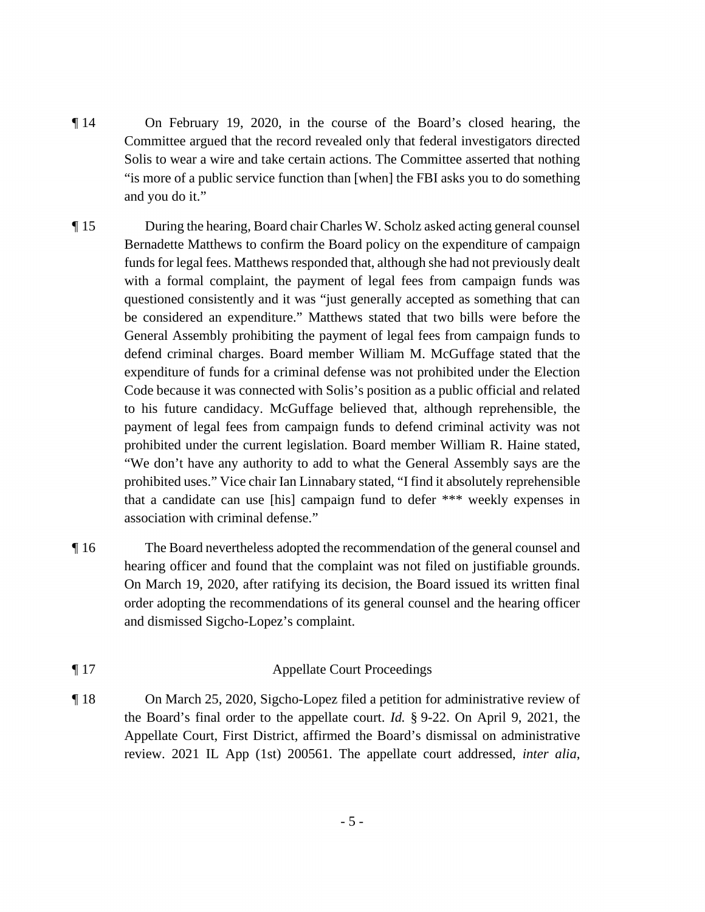- ¶ 14 On February 19, 2020, in the course of the Board's closed hearing, the Committee argued that the record revealed only that federal investigators directed Solis to wear a wire and take certain actions. The Committee asserted that nothing "is more of a public service function than [when] the FBI asks you to do something and you do it."
- ¶ 15 During the hearing, Board chair Charles W. Scholz asked acting general counsel Bernadette Matthews to confirm the Board policy on the expenditure of campaign funds for legal fees. Matthews responded that, although she had not previously dealt with a formal complaint, the payment of legal fees from campaign funds was questioned consistently and it was "just generally accepted as something that can be considered an expenditure." Matthews stated that two bills were before the General Assembly prohibiting the payment of legal fees from campaign funds to defend criminal charges. Board member William M. McGuffage stated that the expenditure of funds for a criminal defense was not prohibited under the Election Code because it was connected with Solis's position as a public official and related to his future candidacy. McGuffage believed that, although reprehensible, the payment of legal fees from campaign funds to defend criminal activity was not prohibited under the current legislation. Board member William R. Haine stated, "We don't have any authority to add to what the General Assembly says are the prohibited uses." Vice chair Ian Linnabary stated, "I find it absolutely reprehensible that a candidate can use [his] campaign fund to defer \*\*\* weekly expenses in association with criminal defense."
- ¶ 16 The Board nevertheless adopted the recommendation of the general counsel and hearing officer and found that the complaint was not filed on justifiable grounds. On March 19, 2020, after ratifying its decision, the Board issued its written final order adopting the recommendations of its general counsel and the hearing officer and dismissed Sigcho-Lopez's complaint.
- ¶ 17 Appellate Court Proceedings
- ¶ 18 On March 25, 2020, Sigcho-Lopez filed a petition for administrative review of the Board's final order to the appellate court. *Id.* § 9-22. On April 9, 2021, the Appellate Court, First District, affirmed the Board's dismissal on administrative review. 2021 IL App (1st) 200561. The appellate court addressed, *inter alia*,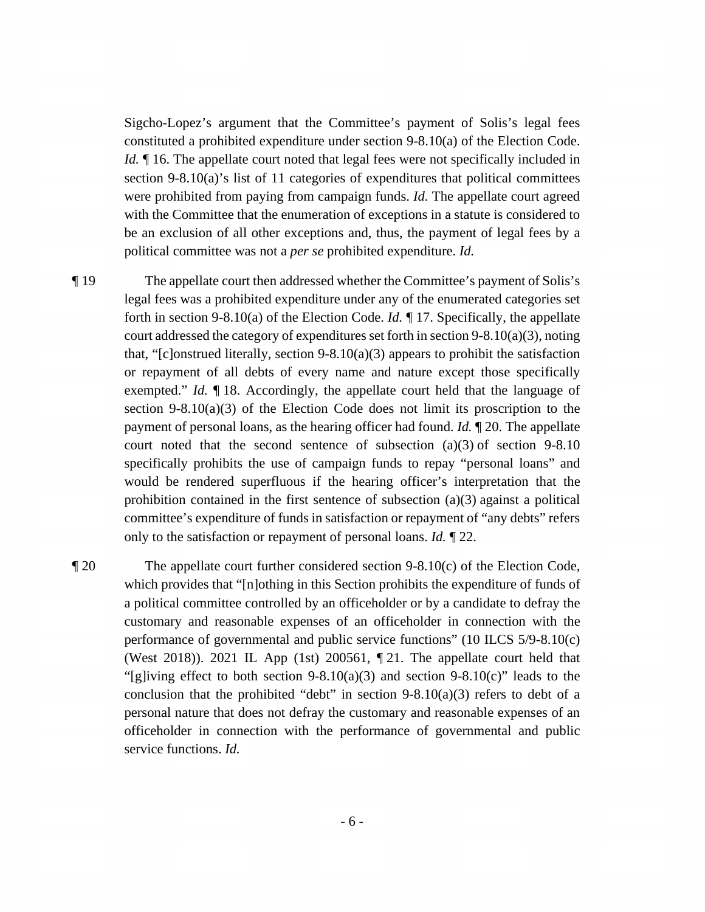Sigcho-Lopez's argument that the Committee's payment of Solis's legal fees constituted a prohibited expenditure under section 9-8.10(a) of the Election Code. *Id.*  $\parallel$  16. The appellate court noted that legal fees were not specifically included in section 9-8.10(a)'s list of 11 categories of expenditures that political committees were prohibited from paying from campaign funds. *Id.* The appellate court agreed with the Committee that the enumeration of exceptions in a statute is considered to be an exclusion of all other exceptions and, thus, the payment of legal fees by a political committee was not a *per se* prohibited expenditure. *Id.*

¶ 19 The appellate court then addressed whether the Committee's payment of Solis's legal fees was a prohibited expenditure under any of the enumerated categories set forth in section 9-8.10(a) of the Election Code. *Id.* ¶ 17. Specifically, the appellate court addressed the category of expenditures set forth in section 9-8.10(a)(3), noting that, "[c]onstrued literally, section 9-8.10(a)(3) appears to prohibit the satisfaction or repayment of all debts of every name and nature except those specifically exempted." *Id.* ¶ 18. Accordingly, the appellate court held that the language of section 9-8.10(a)(3) of the Election Code does not limit its proscription to the payment of personal loans, as the hearing officer had found. *Id.* ¶ 20. The appellate court noted that the second sentence of subsection  $(a)(3)$  of section 9-8.10 specifically prohibits the use of campaign funds to repay "personal loans" and would be rendered superfluous if the hearing officer's interpretation that the prohibition contained in the first sentence of subsection (a)(3) against a political committee's expenditure of funds in satisfaction or repayment of "any debts" refers only to the satisfaction or repayment of personal loans. *Id.* ¶ 22.

¶ 20 The appellate court further considered section 9-8.10(c) of the Election Code, which provides that "[n]othing in this Section prohibits the expenditure of funds of a political committee controlled by an officeholder or by a candidate to defray the customary and reasonable expenses of an officeholder in connection with the performance of governmental and public service functions" (10 ILCS 5/9-8.10(c) (West 2018)). 2021 IL App (1st) 200561, ¶ 21. The appellate court held that "[g]iving effect to both section  $9-8.10(a)(3)$  and section  $9-8.10(c)$ " leads to the conclusion that the prohibited "debt" in section  $9-8.10(a)(3)$  refers to debt of a personal nature that does not defray the customary and reasonable expenses of an officeholder in connection with the performance of governmental and public service functions. *Id.*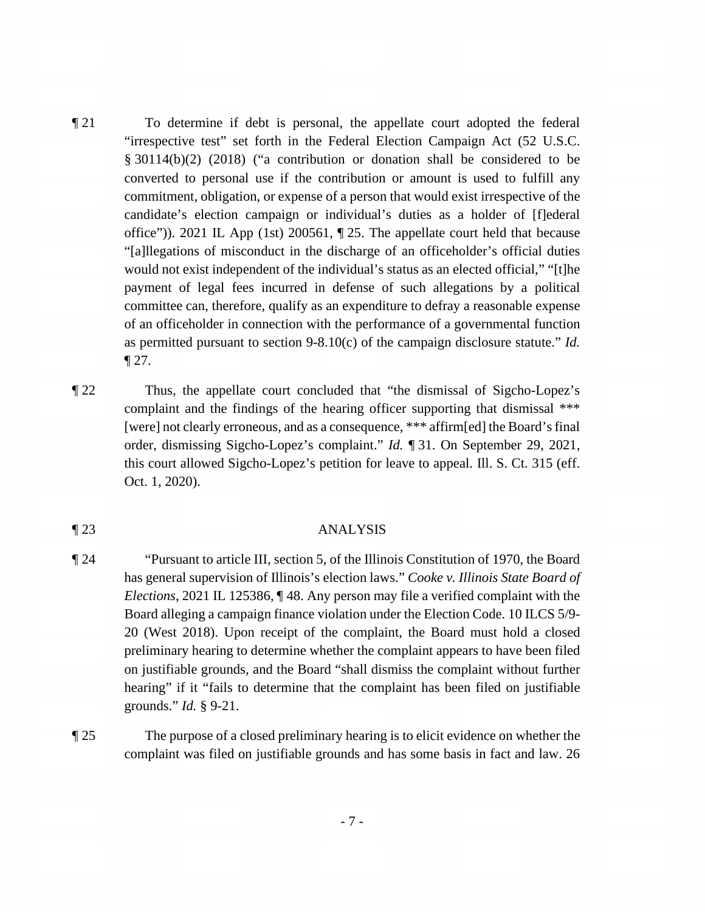- ¶ 21 To determine if debt is personal, the appellate court adopted the federal "irrespective test" set forth in the Federal Election Campaign Act (52 U.S.C. § 30114(b)(2) (2018) ("a contribution or donation shall be considered to be converted to personal use if the contribution or amount is used to fulfill any commitment, obligation, or expense of a person that would exist irrespective of the candidate's election campaign or individual's duties as a holder of [f]ederal office")). 2021 IL App (1st) 200561, ¶ 25. The appellate court held that because "[a]llegations of misconduct in the discharge of an officeholder's official duties would not exist independent of the individual's status as an elected official," "[t]he payment of legal fees incurred in defense of such allegations by a political committee can, therefore, qualify as an expenditure to defray a reasonable expense of an officeholder in connection with the performance of a governmental function as permitted pursuant to section 9-8.10(c) of the campaign disclosure statute." *Id.*  $\P$  27.
- ¶ 22 Thus, the appellate court concluded that "the dismissal of Sigcho-Lopez's complaint and the findings of the hearing officer supporting that dismissal \*\*\* [were] not clearly erroneous, and as a consequence, \*\*\* affirm[ed] the Board's final order, dismissing Sigcho-Lopez's complaint." *Id.* ¶ 31. On September 29, 2021, this court allowed Sigcho-Lopez's petition for leave to appeal. Ill. S. Ct. 315 (eff. Oct. 1, 2020).

#### ¶ 23 ANALYSIS

- ¶ 24 "Pursuant to article III, section 5, of the Illinois Constitution of 1970, the Board has general supervision of Illinois's election laws." *Cooke v. Illinois State Board of Elections*, 2021 IL 125386, ¶ 48. Any person may file a verified complaint with the Board alleging a campaign finance violation under the Election Code. 10 ILCS 5/9- 20 (West 2018). Upon receipt of the complaint, the Board must hold a closed preliminary hearing to determine whether the complaint appears to have been filed on justifiable grounds, and the Board "shall dismiss the complaint without further hearing" if it "fails to determine that the complaint has been filed on justifiable grounds." *Id.* § 9-21.
- ¶ 25 The purpose of a closed preliminary hearing is to elicit evidence on whether the complaint was filed on justifiable grounds and has some basis in fact and law. 26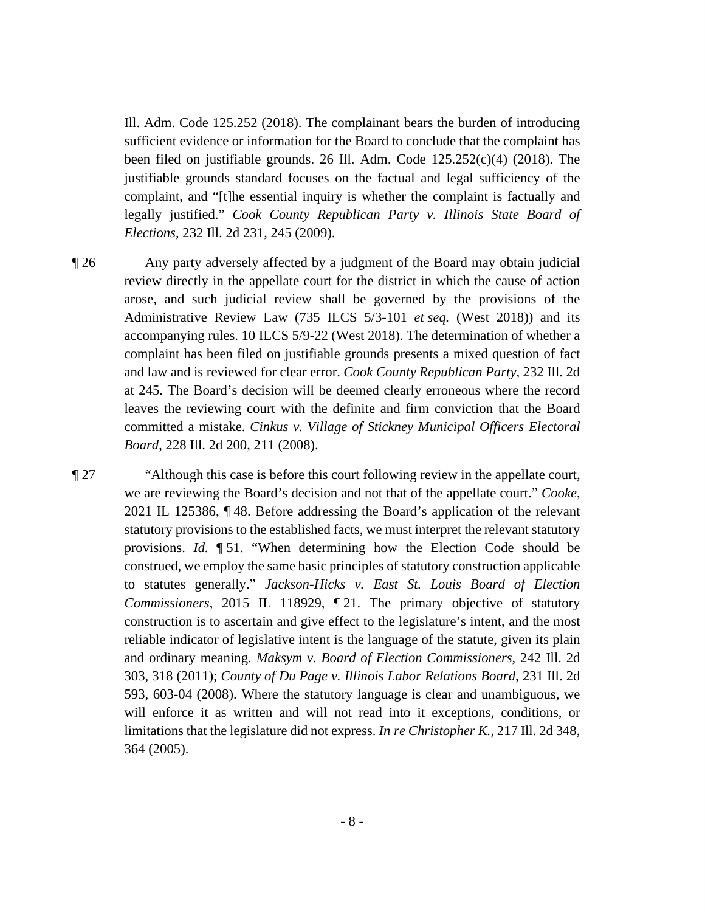Ill. Adm. Code 125.252 (2018). The complainant bears the burden of introducing sufficient evidence or information for the Board to conclude that the complaint has been filed on justifiable grounds. 26 Ill. Adm. Code  $125.252(c)(4)$  (2018). The justifiable grounds standard focuses on the factual and legal sufficiency of the complaint, and "[t]he essential inquiry is whether the complaint is factually and legally justified." *Cook County Republican Party v. Illinois State Board of Elections*, 232 Ill. 2d 231, 245 (2009).

¶ 26 Any party adversely affected by a judgment of the Board may obtain judicial review directly in the appellate court for the district in which the cause of action arose, and such judicial review shall be governed by the provisions of the Administrative Review Law (735 ILCS 5/3-101 *et seq.* (West 2018)) and its accompanying rules. 10 ILCS 5/9-22 (West 2018). The determination of whether a complaint has been filed on justifiable grounds presents a mixed question of fact and law and is reviewed for clear error. *Cook County Republican Party*, 232 Ill. 2d at 245. The Board's decision will be deemed clearly erroneous where the record leaves the reviewing court with the definite and firm conviction that the Board committed a mistake. *Cinkus v. Village of Stickney Municipal Officers Electoral Board*, 228 Ill. 2d 200, 211 (2008).

¶ 27 "Although this case is before this court following review in the appellate court, we are reviewing the Board's decision and not that of the appellate court." *Cooke*, 2021 IL 125386, ¶ 48. Before addressing the Board's application of the relevant statutory provisions to the established facts, we must interpret the relevant statutory provisions. *Id.* ¶ 51. "When determining how the Election Code should be construed, we employ the same basic principles of statutory construction applicable to statutes generally." *Jackson-Hicks v. East St. Louis Board of Election Commissioners*, 2015 IL 118929, ¶ 21. The primary objective of statutory construction is to ascertain and give effect to the legislature's intent, and the most reliable indicator of legislative intent is the language of the statute, given its plain and ordinary meaning. *Maksym v. Board of Election Commissioners*, 242 Ill. 2d 303, 318 (2011); *County of Du Page v. Illinois Labor Relations Board*, 231 Ill. 2d 593, 603-04 (2008). Where the statutory language is clear and unambiguous, we will enforce it as written and will not read into it exceptions, conditions, or limitations that the legislature did not express. *In re Christopher K.*, 217 Ill. 2d 348, 364 (2005).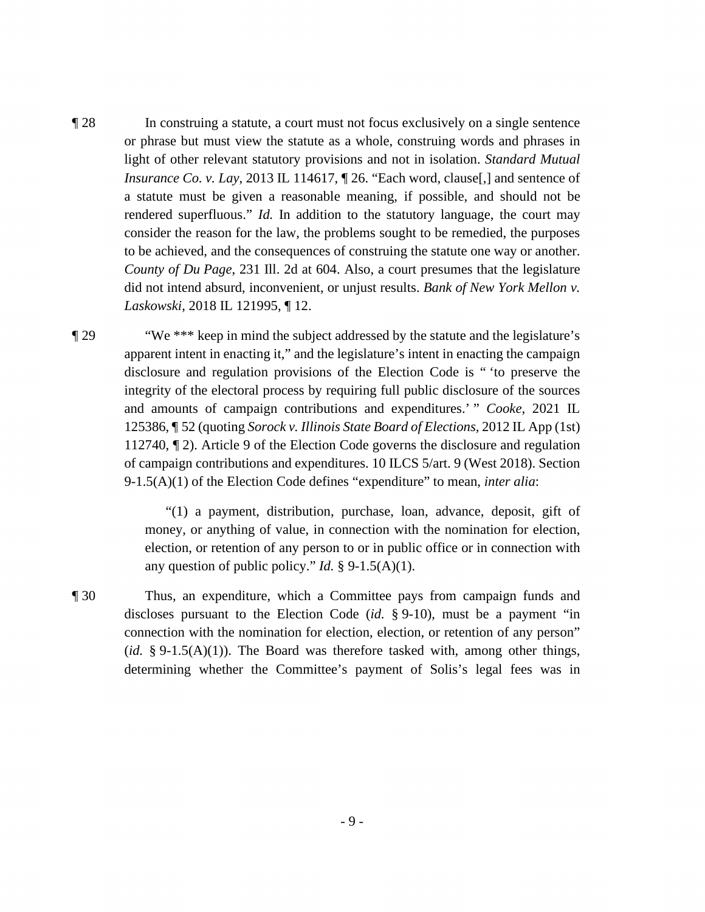- ¶ 28 In construing a statute, a court must not focus exclusively on a single sentence or phrase but must view the statute as a whole, construing words and phrases in light of other relevant statutory provisions and not in isolation. *Standard Mutual Insurance Co. v. Lay*, 2013 IL 114617,  $\mathbb{I}$  26. "Each word, clause, J and sentence of a statute must be given a reasonable meaning, if possible, and should not be rendered superfluous." *Id.* In addition to the statutory language, the court may consider the reason for the law, the problems sought to be remedied, the purposes to be achieved, and the consequences of construing the statute one way or another. *County of Du Page*, 231 Ill. 2d at 604. Also, a court presumes that the legislature did not intend absurd, inconvenient, or unjust results. *Bank of New York Mellon v. Laskowski*, 2018 IL 121995, ¶ 12.
- ¶ 29 "We \*\*\* keep in mind the subject addressed by the statute and the legislature's apparent intent in enacting it," and the legislature's intent in enacting the campaign disclosure and regulation provisions of the Election Code is " 'to preserve the integrity of the electoral process by requiring full public disclosure of the sources and amounts of campaign contributions and expenditures.' " *Cooke*, 2021 IL 125386, ¶ 52 (quoting *Sorock v. Illinois State Board of Elections*, 2012 IL App (1st) 112740, ¶ 2). Article 9 of the Election Code governs the disclosure and regulation of campaign contributions and expenditures. 10 ILCS 5/art. 9 (West 2018). Section 9-1.5(A)(1) of the Election Code defines "expenditure" to mean, *inter alia*:

"(1) a payment, distribution, purchase, loan, advance, deposit, gift of money, or anything of value, in connection with the nomination for election, election, or retention of any person to or in public office or in connection with any question of public policy." *Id.* § 9-1.5(A)(1).

¶ 30 Thus, an expenditure, which a Committee pays from campaign funds and discloses pursuant to the Election Code (*id.* § 9-10), must be a payment "in connection with the nomination for election, election, or retention of any person"  $(id. § 9-1.5(A)(1))$ . The Board was therefore tasked with, among other things, determining whether the Committee's payment of Solis's legal fees was in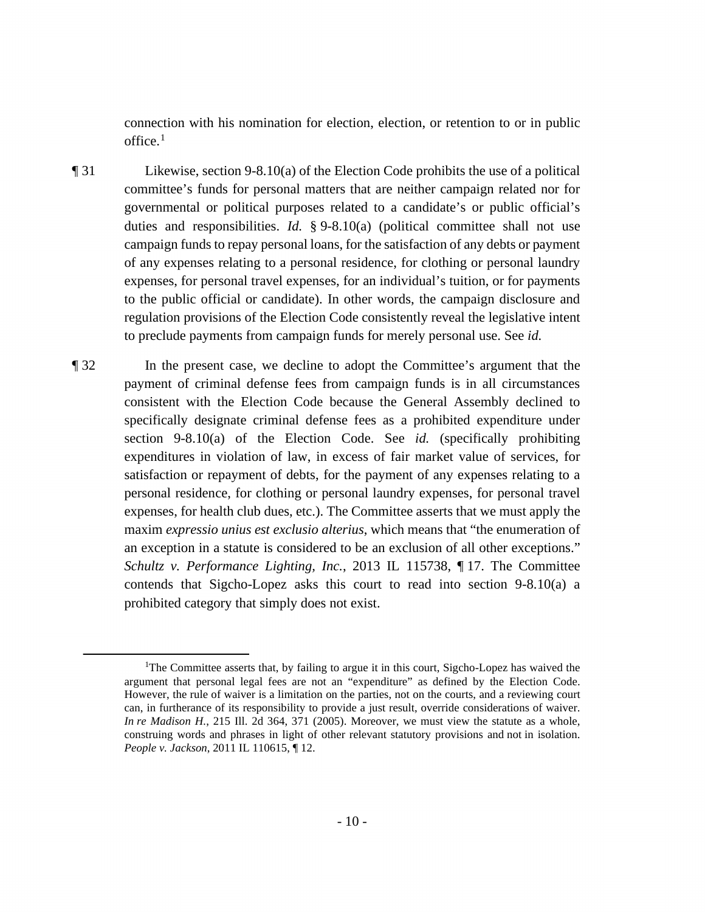connection with his nomination for election, election, or retention to or in public  $office.<sup>1</sup>$ 

- ¶ 31 Likewise, section 9-8.10(a) of the Election Code prohibits the use of a political committee's funds for personal matters that are neither campaign related nor for governmental or political purposes related to a candidate's or public official's duties and responsibilities. *Id.* § 9-8.10(a) (political committee shall not use campaign funds to repay personal loans, for the satisfaction of any debts or payment of any expenses relating to a personal residence, for clothing or personal laundry expenses, for personal travel expenses, for an individual's tuition, or for payments to the public official or candidate). In other words, the campaign disclosure and regulation provisions of the Election Code consistently reveal the legislative intent to preclude payments from campaign funds for merely personal use. See *id.*
- ¶ 32 In the present case, we decline to adopt the Committee's argument that the payment of criminal defense fees from campaign funds is in all circumstances consistent with the Election Code because the General Assembly declined to specifically designate criminal defense fees as a prohibited expenditure under section 9-8.10(a) of the Election Code. See *id.* (specifically prohibiting expenditures in violation of law, in excess of fair market value of services, for satisfaction or repayment of debts, for the payment of any expenses relating to a personal residence, for clothing or personal laundry expenses, for personal travel expenses, for health club dues, etc.). The Committee asserts that we must apply the maxim *expressio unius est exclusio alterius*, which means that "the enumeration of an exception in a statute is considered to be an exclusion of all other exceptions." *Schultz v. Performance Lighting, Inc.*, 2013 IL 115738, ¶ 17. The Committee contends that Sigcho-Lopez asks this court to read into section 9-8.10(a) a prohibited category that simply does not exist.

<sup>&</sup>lt;sup>1</sup>The Committee asserts that, by failing to argue it in this court, Sigcho-Lopez has waived the argument that personal legal fees are not an "expenditure" as defined by the Election Code. However, the rule of waiver is a limitation on the parties, not on the courts, and a reviewing court can, in furtherance of its responsibility to provide a just result, override considerations of waiver. *In re Madison H.*, 215 Ill. 2d 364, 371 (2005). Moreover, we must view the statute as a whole, construing words and phrases in light of other relevant statutory provisions and not in isolation. *People v. Jackson*, 2011 IL 110615, ¶ 12.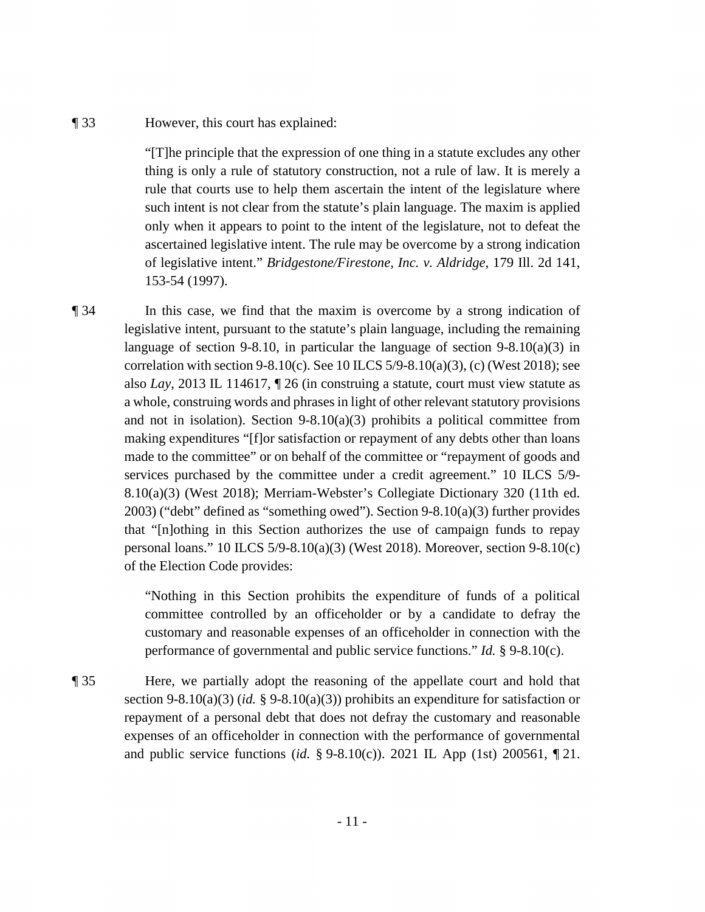#### ¶ 33 However, this court has explained:

"[T]he principle that the expression of one thing in a statute excludes any other thing is only a rule of statutory construction, not a rule of law. It is merely a rule that courts use to help them ascertain the intent of the legislature where such intent is not clear from the statute's plain language. The maxim is applied only when it appears to point to the intent of the legislature, not to defeat the ascertained legislative intent. The rule may be overcome by a strong indication of legislative intent." *Bridgestone/Firestone, Inc. v. Aldridge*, 179 Ill. 2d 141, 153-54 (1997).

¶ 34 In this case, we find that the maxim is overcome by a strong indication of legislative intent, pursuant to the statute's plain language, including the remaining language of section 9-8.10, in particular the language of section  $9-8.10(a)(3)$  in correlation with section 9-8.10(c). See 10 ILCS  $5/9-8.10(a)(3)$ , (c) (West 2018); see also *Lay*, 2013 IL 114617, ¶ 26 (in construing a statute, court must view statute as a whole, construing words and phrases in light of other relevant statutory provisions and not in isolation). Section  $9-8.10(a)(3)$  prohibits a political committee from making expenditures "[f]or satisfaction or repayment of any debts other than loans made to the committee" or on behalf of the committee or "repayment of goods and services purchased by the committee under a credit agreement." 10 ILCS 5/9- 8.10(a)(3) (West 2018); Merriam-Webster's Collegiate Dictionary 320 (11th ed. 2003) ("debt" defined as "something owed"). Section 9-8.10(a)(3) further provides that "[n]othing in this Section authorizes the use of campaign funds to repay personal loans." 10 ILCS 5/9-8.10(a)(3) (West 2018). Moreover, section 9-8.10(c) of the Election Code provides:

> "Nothing in this Section prohibits the expenditure of funds of a political committee controlled by an officeholder or by a candidate to defray the customary and reasonable expenses of an officeholder in connection with the performance of governmental and public service functions." *Id.* § 9-8.10(c).

¶ 35 Here, we partially adopt the reasoning of the appellate court and hold that section 9-8.10(a)(3) (*id.* § 9-8.10(a)(3)) prohibits an expenditure for satisfaction or repayment of a personal debt that does not defray the customary and reasonable expenses of an officeholder in connection with the performance of governmental and public service functions (*id.* § 9-8.10(c)). 2021 IL App (1st) 200561, ¶ 21.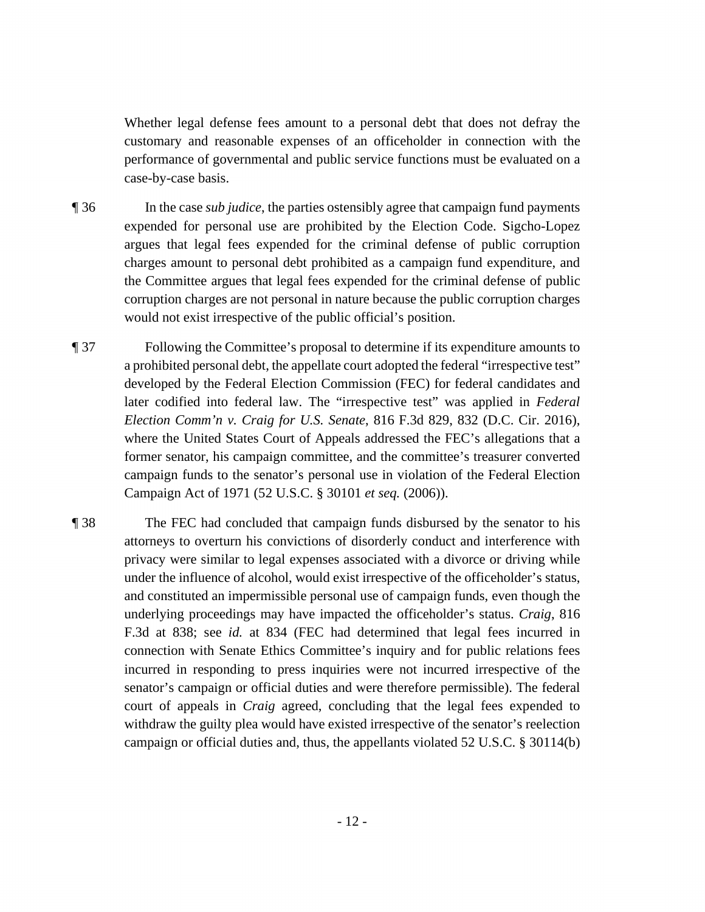Whether legal defense fees amount to a personal debt that does not defray the customary and reasonable expenses of an officeholder in connection with the performance of governmental and public service functions must be evaluated on a case-by-case basis.

- ¶ 36 In the case *sub judice*, the parties ostensibly agree that campaign fund payments expended for personal use are prohibited by the Election Code. Sigcho-Lopez argues that legal fees expended for the criminal defense of public corruption charges amount to personal debt prohibited as a campaign fund expenditure, and the Committee argues that legal fees expended for the criminal defense of public corruption charges are not personal in nature because the public corruption charges would not exist irrespective of the public official's position.
- ¶ 37 Following the Committee's proposal to determine if its expenditure amounts to a prohibited personal debt, the appellate court adopted the federal "irrespective test" developed by the Federal Election Commission (FEC) for federal candidates and later codified into federal law. The "irrespective test" was applied in *Federal Election Comm'n v. Craig for U.S. Senate*, 816 F.3d 829, 832 (D.C. Cir. 2016), where the United States Court of Appeals addressed the FEC's allegations that a former senator, his campaign committee, and the committee's treasurer converted campaign funds to the senator's personal use in violation of the Federal Election Campaign Act of 1971 (52 U.S.C. § 30101 *et seq.* (2006)).
- ¶ 38 The FEC had concluded that campaign funds disbursed by the senator to his attorneys to overturn his convictions of disorderly conduct and interference with privacy were similar to legal expenses associated with a divorce or driving while under the influence of alcohol, would exist irrespective of the officeholder's status, and constituted an impermissible personal use of campaign funds, even though the underlying proceedings may have impacted the officeholder's status. *Craig*, 816 F.3d at 838; see *id.* at 834 (FEC had determined that legal fees incurred in connection with Senate Ethics Committee's inquiry and for public relations fees incurred in responding to press inquiries were not incurred irrespective of the senator's campaign or official duties and were therefore permissible). The federal court of appeals in *Craig* agreed, concluding that the legal fees expended to withdraw the guilty plea would have existed irrespective of the senator's reelection campaign or official duties and, thus, the appellants violated 52 U.S.C. § 30114(b)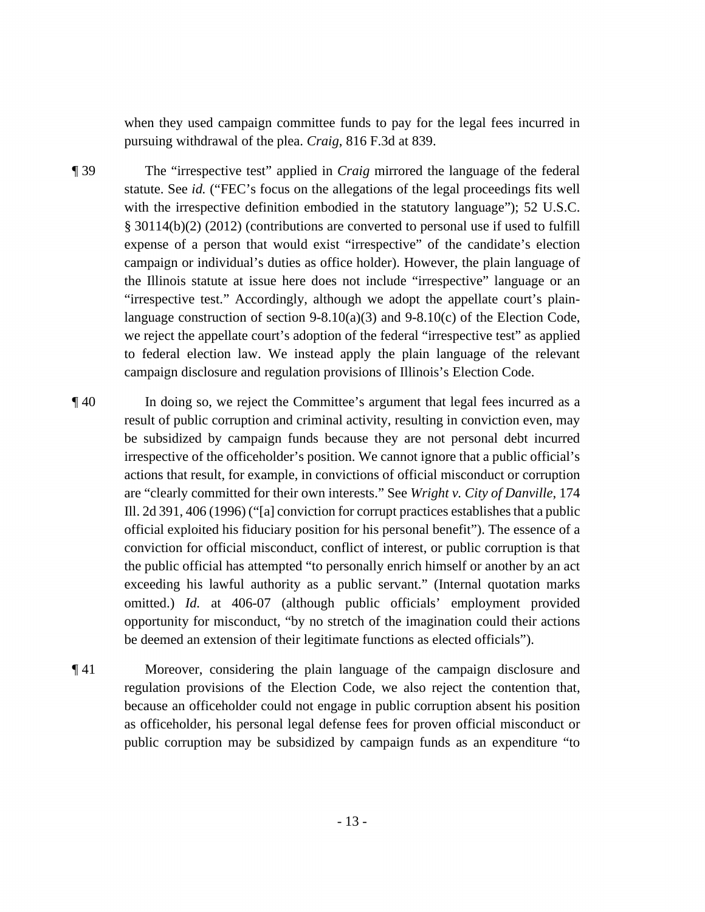when they used campaign committee funds to pay for the legal fees incurred in pursuing withdrawal of the plea. *Craig*, 816 F.3d at 839.

- ¶ 39 The "irrespective test" applied in *Craig* mirrored the language of the federal statute. See *id.* ("FEC's focus on the allegations of the legal proceedings fits well with the irrespective definition embodied in the statutory language"); 52 U.S.C. § 30114(b)(2) (2012) (contributions are converted to personal use if used to fulfill expense of a person that would exist "irrespective" of the candidate's election campaign or individual's duties as office holder). However, the plain language of the Illinois statute at issue here does not include "irrespective" language or an "irrespective test." Accordingly, although we adopt the appellate court's plainlanguage construction of section  $9-8.10(a)(3)$  and  $9-8.10(c)$  of the Election Code, we reject the appellate court's adoption of the federal "irrespective test" as applied to federal election law. We instead apply the plain language of the relevant campaign disclosure and regulation provisions of Illinois's Election Code.
- ¶ 40 In doing so, we reject the Committee's argument that legal fees incurred as a result of public corruption and criminal activity, resulting in conviction even, may be subsidized by campaign funds because they are not personal debt incurred irrespective of the officeholder's position. We cannot ignore that a public official's actions that result, for example, in convictions of official misconduct or corruption are "clearly committed for their own interests." See *Wright v. City of Danville*, 174 Ill. 2d 391, 406 (1996) ("[a] conviction for corrupt practices establishes that a public official exploited his fiduciary position for his personal benefit"). The essence of a conviction for official misconduct, conflict of interest, or public corruption is that the public official has attempted "to personally enrich himself or another by an act exceeding his lawful authority as a public servant." (Internal quotation marks omitted.) *Id.* at 406-07 (although public officials' employment provided opportunity for misconduct, "by no stretch of the imagination could their actions be deemed an extension of their legitimate functions as elected officials").
- ¶ 41 Moreover, considering the plain language of the campaign disclosure and regulation provisions of the Election Code, we also reject the contention that, because an officeholder could not engage in public corruption absent his position as officeholder, his personal legal defense fees for proven official misconduct or public corruption may be subsidized by campaign funds as an expenditure "to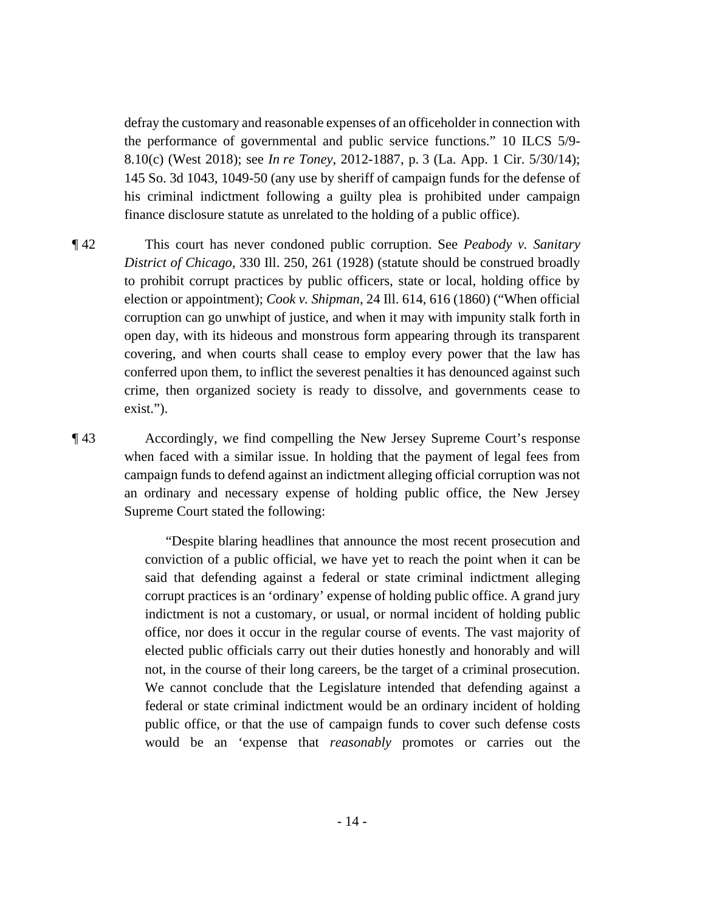defray the customary and reasonable expenses of an officeholder in connection with the performance of governmental and public service functions." 10 ILCS 5/9- 8.10(c) (West 2018); see *In re Toney*, 2012-1887, p. 3 (La. App. 1 Cir. 5/30/14); 145 So. 3d 1043, 1049-50 (any use by sheriff of campaign funds for the defense of his criminal indictment following a guilty plea is prohibited under campaign finance disclosure statute as unrelated to the holding of a public office).

¶ 42 This court has never condoned public corruption. See *Peabody v. Sanitary District of Chicago*, 330 Ill. 250, 261 (1928) (statute should be construed broadly to prohibit corrupt practices by public officers, state or local, holding office by election or appointment); *Cook v. Shipman*, 24 Ill. 614, 616 (1860) ("When official corruption can go unwhipt of justice, and when it may with impunity stalk forth in open day, with its hideous and monstrous form appearing through its transparent covering, and when courts shall cease to employ every power that the law has conferred upon them, to inflict the severest penalties it has denounced against such crime, then organized society is ready to dissolve, and governments cease to exist.").

¶ 43 Accordingly, we find compelling the New Jersey Supreme Court's response when faced with a similar issue. In holding that the payment of legal fees from campaign funds to defend against an indictment alleging official corruption was not an ordinary and necessary expense of holding public office, the New Jersey Supreme Court stated the following:

> "Despite blaring headlines that announce the most recent prosecution and conviction of a public official, we have yet to reach the point when it can be said that defending against a federal or state criminal indictment alleging corrupt practices is an 'ordinary' expense of holding public office. A grand jury indictment is not a customary, or usual, or normal incident of holding public office, nor does it occur in the regular course of events. The vast majority of elected public officials carry out their duties honestly and honorably and will not, in the course of their long careers, be the target of a criminal prosecution. We cannot conclude that the Legislature intended that defending against a federal or state criminal indictment would be an ordinary incident of holding public office, or that the use of campaign funds to cover such defense costs would be an 'expense that *reasonably* promotes or carries out the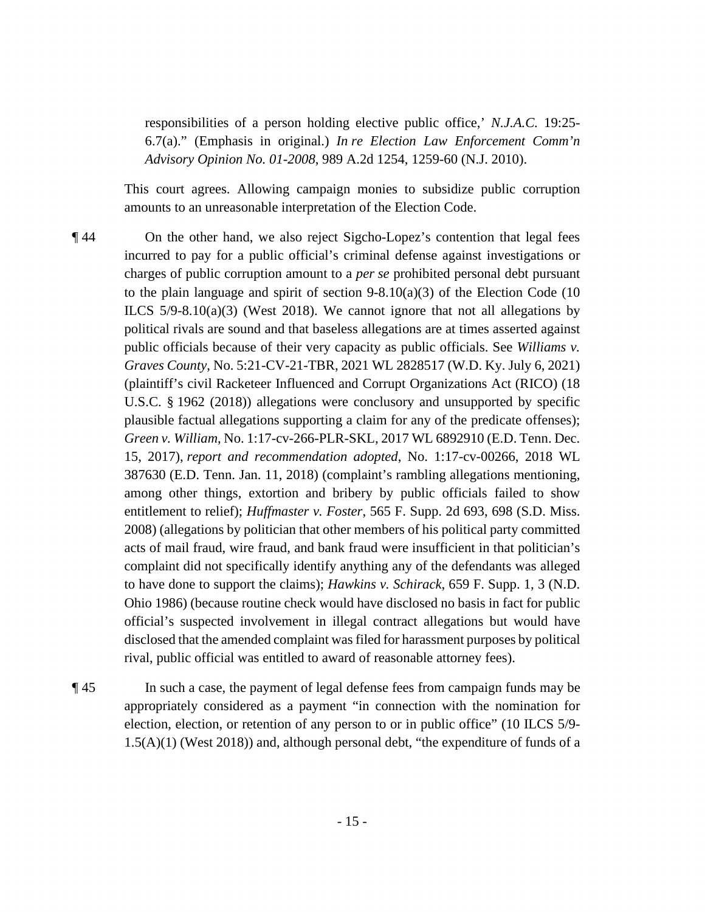responsibilities of a person holding elective public office,' *N.J.A.C.* 19:25- 6.7(a)." (Emphasis in original.) *In re Election Law Enforcement Comm'n Advisory Opinion No. 01-2008*, 989 A.2d 1254, 1259-60 (N.J. 2010).

This court agrees. Allowing campaign monies to subsidize public corruption amounts to an unreasonable interpretation of the Election Code.

- ¶ 44 On the other hand, we also reject Sigcho-Lopez's contention that legal fees incurred to pay for a public official's criminal defense against investigations or charges of public corruption amount to a *per se* prohibited personal debt pursuant to the plain language and spirit of section  $9-8.10(a)(3)$  of the Election Code (10) ILCS  $5/9-8.10(a)(3)$  (West 2018). We cannot ignore that not all allegations by political rivals are sound and that baseless allegations are at times asserted against public officials because of their very capacity as public officials. See *Williams v. Graves County*, No. 5:21-CV-21-TBR, 2021 WL 2828517 (W.D. Ky. July 6, 2021) (plaintiff's civil Racketeer Influenced and Corrupt Organizations Act (RICO) (18 U.S.C. § 1962 (2018)) allegations were conclusory and unsupported by specific plausible factual allegations supporting a claim for any of the predicate offenses); *Green v. William*, No. 1:17-cv-266-PLR-SKL, 2017 WL 6892910 (E.D. Tenn. Dec. 15, 2017), *report and recommendation adopted*, No. 1:17-cv-00266, 2018 WL 387630 (E.D. Tenn. Jan. 11, 2018) (complaint's rambling allegations mentioning, among other things, extortion and bribery by public officials failed to show entitlement to relief); *Huffmaster v. Foster*, 565 F. Supp. 2d 693, 698 (S.D. Miss. 2008) (allegations by politician that other members of his political party committed acts of mail fraud, wire fraud, and bank fraud were insufficient in that politician's complaint did not specifically identify anything any of the defendants was alleged to have done to support the claims); *Hawkins v. Schirack*, 659 F. Supp. 1, 3 (N.D. Ohio 1986) (because routine check would have disclosed no basis in fact for public official's suspected involvement in illegal contract allegations but would have disclosed that the amended complaint was filed for harassment purposes by political rival, public official was entitled to award of reasonable attorney fees).
- 

¶ 45 In such a case, the payment of legal defense fees from campaign funds may be appropriately considered as a payment "in connection with the nomination for election, election, or retention of any person to or in public office" (10 ILCS 5/9- 1.5(A)(1) (West 2018)) and, although personal debt, "the expenditure of funds of a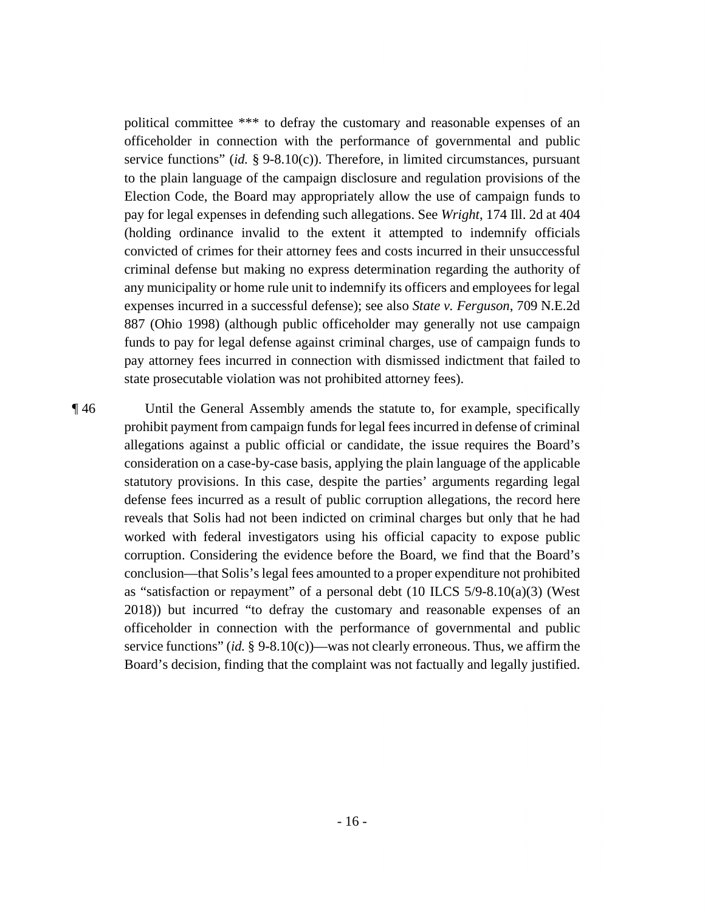political committee \*\*\* to defray the customary and reasonable expenses of an officeholder in connection with the performance of governmental and public service functions" (*id.* § 9-8.10(c)). Therefore, in limited circumstances, pursuant to the plain language of the campaign disclosure and regulation provisions of the Election Code, the Board may appropriately allow the use of campaign funds to pay for legal expenses in defending such allegations. See *Wright*, 174 Ill. 2d at 404 (holding ordinance invalid to the extent it attempted to indemnify officials convicted of crimes for their attorney fees and costs incurred in their unsuccessful criminal defense but making no express determination regarding the authority of any municipality or home rule unit to indemnify its officers and employees for legal expenses incurred in a successful defense); see also *State v. Ferguson*, 709 N.E.2d 887 (Ohio 1998) (although public officeholder may generally not use campaign funds to pay for legal defense against criminal charges, use of campaign funds to pay attorney fees incurred in connection with dismissed indictment that failed to state prosecutable violation was not prohibited attorney fees).

¶ 46 Until the General Assembly amends the statute to, for example, specifically prohibit payment from campaign funds for legal fees incurred in defense of criminal allegations against a public official or candidate, the issue requires the Board's consideration on a case-by-case basis, applying the plain language of the applicable statutory provisions. In this case, despite the parties' arguments regarding legal defense fees incurred as a result of public corruption allegations, the record here reveals that Solis had not been indicted on criminal charges but only that he had worked with federal investigators using his official capacity to expose public corruption. Considering the evidence before the Board, we find that the Board's conclusion—that Solis's legal fees amounted to a proper expenditure not prohibited as "satisfaction or repayment" of a personal debt (10 ILCS 5/9-8.10(a)(3) (West 2018)) but incurred "to defray the customary and reasonable expenses of an officeholder in connection with the performance of governmental and public service functions" (*id.* § 9-8.10(c))—was not clearly erroneous. Thus, we affirm the Board's decision, finding that the complaint was not factually and legally justified.